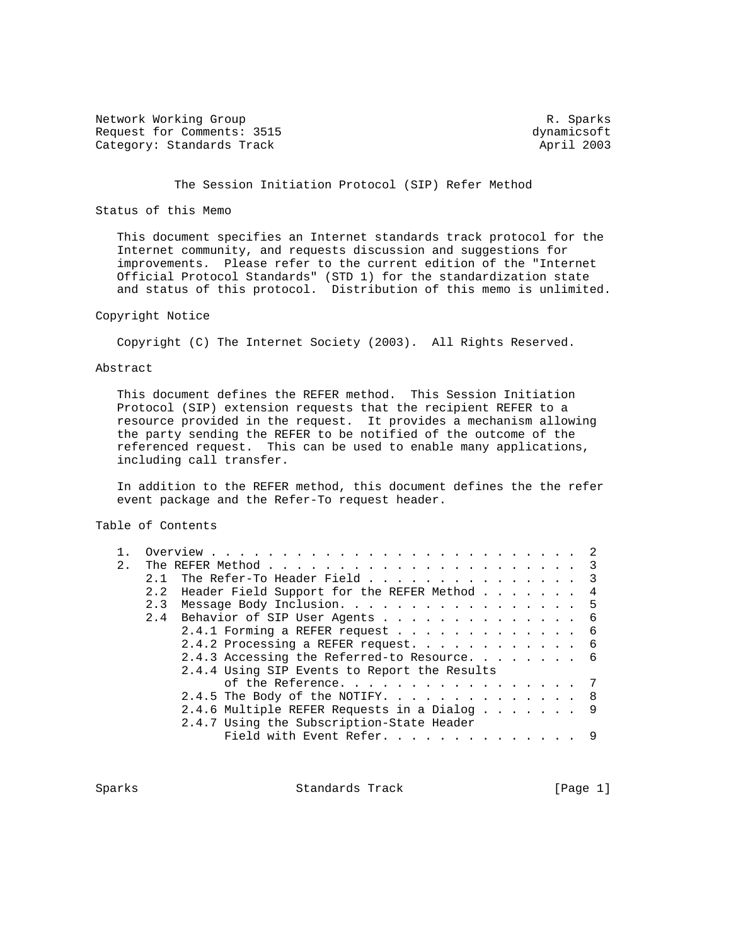Network Working Group and the set of the set of the set of the set of the set of the set of the set of the set o Request for Comments: 3515 dynamicsoft Category: Standards Track April 2003

## The Session Initiation Protocol (SIP) Refer Method

Status of this Memo

 This document specifies an Internet standards track protocol for the Internet community, and requests discussion and suggestions for improvements. Please refer to the current edition of the "Internet Official Protocol Standards" (STD 1) for the standardization state and status of this protocol. Distribution of this memo is unlimited.

Copyright Notice

Copyright (C) The Internet Society (2003). All Rights Reserved.

Abstract

 This document defines the REFER method. This Session Initiation Protocol (SIP) extension requests that the recipient REFER to a resource provided in the request. It provides a mechanism allowing the party sending the REFER to be notified of the outcome of the referenced request. This can be used to enable many applications, including call transfer.

 In addition to the REFER method, this document defines the the refer event package and the Refer-To request header.

Table of Contents

| 2. |     |                                              |  |  |  |  |  |  |  |   |
|----|-----|----------------------------------------------|--|--|--|--|--|--|--|---|
|    | 2.1 | The Refer-To Header Field 3                  |  |  |  |  |  |  |  |   |
|    | 2.2 | Header Field Support for the REFER Method 4  |  |  |  |  |  |  |  |   |
|    | 2.3 | Message Body Inclusion. 5                    |  |  |  |  |  |  |  |   |
|    | 2.4 | Behavior of SIP User Agents 6                |  |  |  |  |  |  |  |   |
|    |     | 2.4.1 Forming a REFER request 6              |  |  |  |  |  |  |  |   |
|    |     | 2.4.2 Processing a REFER request. 6          |  |  |  |  |  |  |  |   |
|    |     | 2.4.3 Accessing the Referred-to Resource. 6  |  |  |  |  |  |  |  |   |
|    |     | 2.4.4 Using SIP Events to Report the Results |  |  |  |  |  |  |  |   |
|    |     | of the Reference. 7                          |  |  |  |  |  |  |  |   |
|    |     | 2.4.5 The Body of the NOTIFY. 8              |  |  |  |  |  |  |  |   |
|    |     | 2.4.6 Multiple REFER Requests in a Dialog 9  |  |  |  |  |  |  |  |   |
|    |     | 2.4.7 Using the Subscription-State Header    |  |  |  |  |  |  |  |   |
|    |     | Field with Event Refer.                      |  |  |  |  |  |  |  | 9 |
|    |     |                                              |  |  |  |  |  |  |  |   |

Sparks Standards Track [Page 1]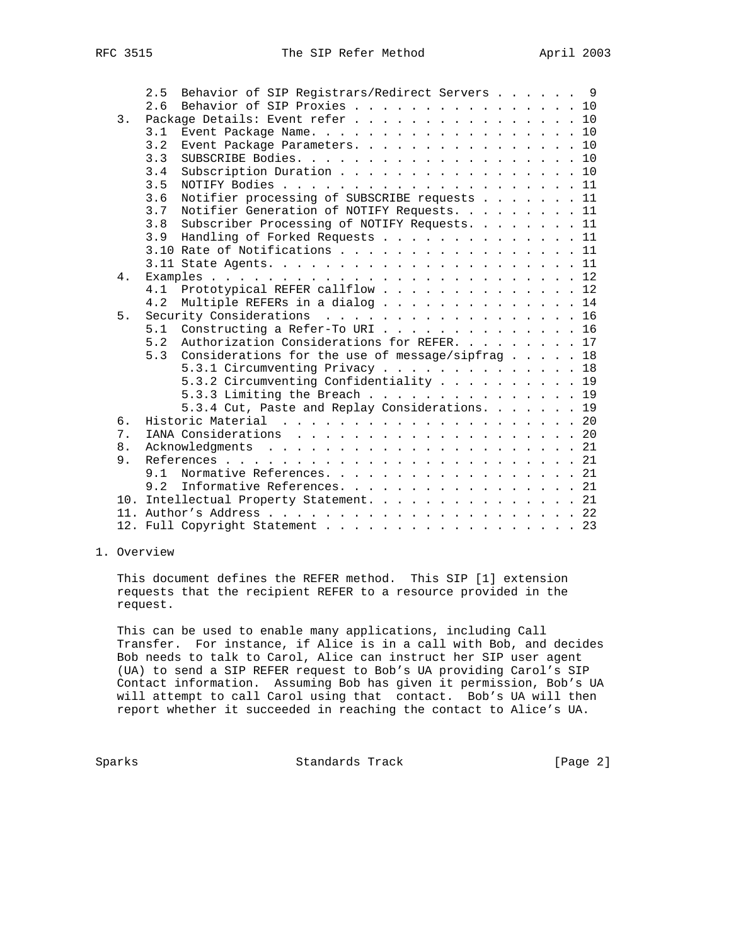|                | Behavior of SIP Registrars/Redirect Servers 9<br>2.5    |  |
|----------------|---------------------------------------------------------|--|
|                | Behavior of SIP Proxies 10<br>2.6                       |  |
| 3.             | Package Details: Event refer 10                         |  |
|                | Event Package Name. 10<br>3.1                           |  |
|                | 3.2<br>Event Package Parameters. 10                     |  |
|                | 3.3                                                     |  |
|                | Subscription Duration 10<br>3.4                         |  |
|                | 3.5                                                     |  |
|                | Notifier processing of SUBSCRIBE requests 11<br>3.6     |  |
|                | Notifier Generation of NOTIFY Requests. 11<br>3.7       |  |
|                | Subscriber Processing of NOTIFY Requests. 11<br>3.8     |  |
|                | Handling of Forked Requests 11<br>3.9                   |  |
|                | 3.10 Rate of Notifications 11                           |  |
|                |                                                         |  |
| 4.             |                                                         |  |
|                | Prototypical REFER callflow 12<br>4.1                   |  |
|                | Multiple REFERs in a dialog 14<br>4.2                   |  |
| 5.             | Security Considerations 16                              |  |
|                | 5.1 Constructing a Refer-To URI 16                      |  |
|                | Authorization Considerations for REFER. 17<br>5.2       |  |
|                | Considerations for the use of message/sipfrag 18<br>5.3 |  |
|                | 5.3.1 Circumventing Privacy 18                          |  |
|                | 5.3.2 Circumventing Confidentiality 19                  |  |
|                | 5.3.3 Limiting the Breach 19                            |  |
|                | 5.3.4 Cut, Paste and Replay Considerations. 19          |  |
| б.             |                                                         |  |
| 7 <sub>1</sub> |                                                         |  |
| 8.             |                                                         |  |
| 9.             |                                                         |  |
|                | Normative References. 21<br>9.1                         |  |
|                | 9.2<br>Informative References. 21                       |  |
|                | 10. Intellectual Property Statement. 21                 |  |
|                |                                                         |  |
|                | 12. Full Copyright Statement 23                         |  |

### 1. Overview

 This document defines the REFER method. This SIP [1] extension requests that the recipient REFER to a resource provided in the request.

 This can be used to enable many applications, including Call Transfer. For instance, if Alice is in a call with Bob, and decides Bob needs to talk to Carol, Alice can instruct her SIP user agent (UA) to send a SIP REFER request to Bob's UA providing Carol's SIP Contact information. Assuming Bob has given it permission, Bob's UA will attempt to call Carol using that contact. Bob's UA will then report whether it succeeded in reaching the contact to Alice's UA.

Sparks Standards Track [Page 2]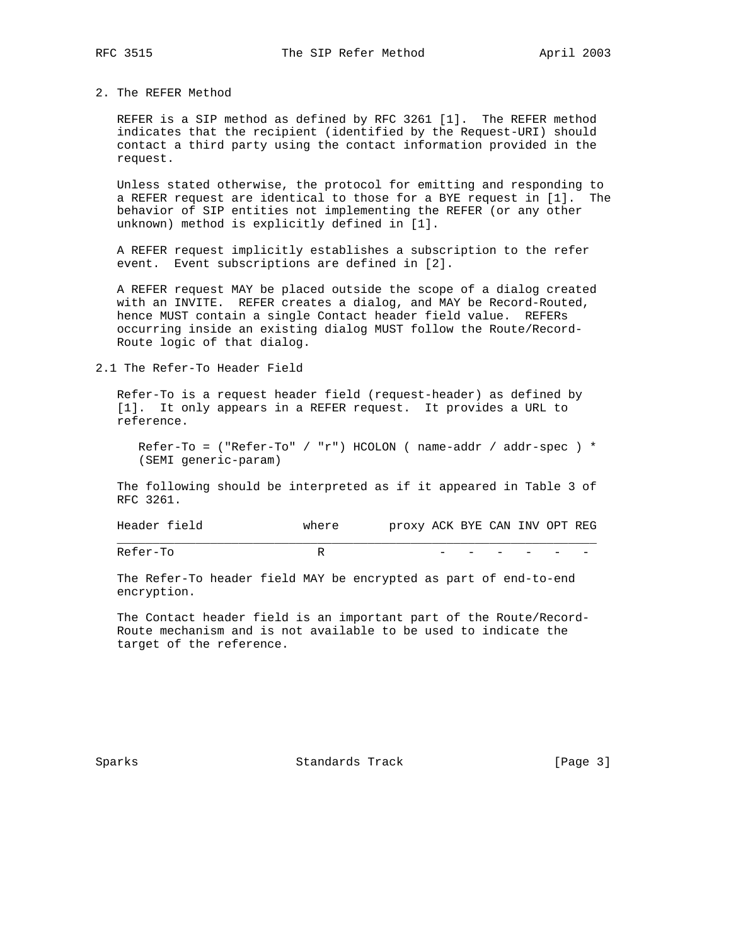2. The REFER Method

 REFER is a SIP method as defined by RFC 3261 [1]. The REFER method indicates that the recipient (identified by the Request-URI) should contact a third party using the contact information provided in the request.

 Unless stated otherwise, the protocol for emitting and responding to a REFER request are identical to those for a BYE request in [1]. The behavior of SIP entities not implementing the REFER (or any other unknown) method is explicitly defined in [1].

 A REFER request implicitly establishes a subscription to the refer event. Event subscriptions are defined in [2].

 A REFER request MAY be placed outside the scope of a dialog created with an INVITE. REFER creates a dialog, and MAY be Record-Routed, hence MUST contain a single Contact header field value. REFERs occurring inside an existing dialog MUST follow the Route/Record- Route logic of that dialog.

2.1 The Refer-To Header Field

 Refer-To is a request header field (request-header) as defined by [1]. It only appears in a REFER request. It provides a URL to reference.

 Refer-To = ("Refer-To" / "r") HCOLON ( name-addr / addr-spec ) \* (SEMI generic-param)

 The following should be interpreted as if it appeared in Table 3 of RFC 3261.

| Header field | where    | proxy ACK BYE CAN INV OPT REG |        |        |                          |                          |  |
|--------------|----------|-------------------------------|--------|--------|--------------------------|--------------------------|--|
| Refer-To     | R<br>. . |                               | $\sim$ | $\sim$ | $\overline{\phantom{a}}$ | $\overline{\phantom{a}}$ |  |

 The Refer-To header field MAY be encrypted as part of end-to-end encryption.

 The Contact header field is an important part of the Route/Record- Route mechanism and is not available to be used to indicate the target of the reference.

Sparks Standards Track [Page 3]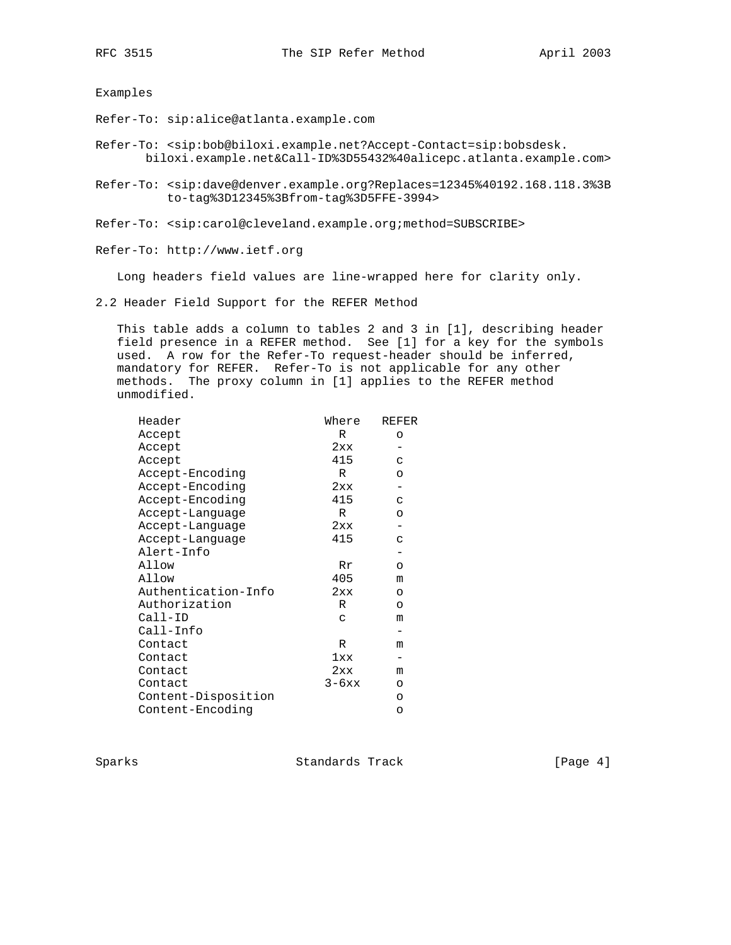Examples

Refer-To: sip:alice@atlanta.example.com

Refer-To: <sip:bob@biloxi.example.net?Accept-Contact=sip:bobsdesk. biloxi.example.net&Call-ID%3D55432%40alicepc.atlanta.example.com>

Refer-To: <sip:dave@denver.example.org?Replaces=12345%40192.168.118.3%3B to-tag%3D12345%3Bfrom-tag%3D5FFE-3994>

Refer-To: <sip:carol@cleveland.example.org;method=SUBSCRIBE>

Refer-To: http://www.ietf.org

Long headers field values are line-wrapped here for clarity only.

2.2 Header Field Support for the REFER Method

 This table adds a column to tables 2 and 3 in [1], describing header field presence in a REFER method. See [1] for a key for the symbols used. A row for the Refer-To request-header should be inferred, mandatory for REFER. Refer-To is not applicable for any other methods. The proxy column in [1] applies to the REFER method unmodified.

| Header              | Where   | REFER   |
|---------------------|---------|---------|
| Accept              | R       | O       |
| Accept              | 2xx     |         |
| Accept              | 415     | C       |
| Accept-Encoding     | R       | $\circ$ |
| Accept-Encoding     | 2xx     |         |
| Accept-Encoding     | 415     | C       |
| Accept-Language     | R       | $\circ$ |
| Accept-Language     | 2xx     |         |
| Accept-Language     | 415     | C       |
| Alert-Info          |         |         |
| Allow               | Rr      | $\circ$ |
| Allow               | 405     | m       |
| Authentication-Info | 2xx     | $\circ$ |
| Authorization       | R       | $\circ$ |
| $Call$ -ID          | C       | m       |
| Call-Info           |         |         |
| Contact             | R       | m       |
| Contact             | 1xx     |         |
| Contact             | 2xx     | m       |
| Contact             | $3-6xx$ | $\circ$ |
| Content-Disposition |         | O       |
| Content-Encoding    |         | $\circ$ |

Sparks Standards Track [Page 4]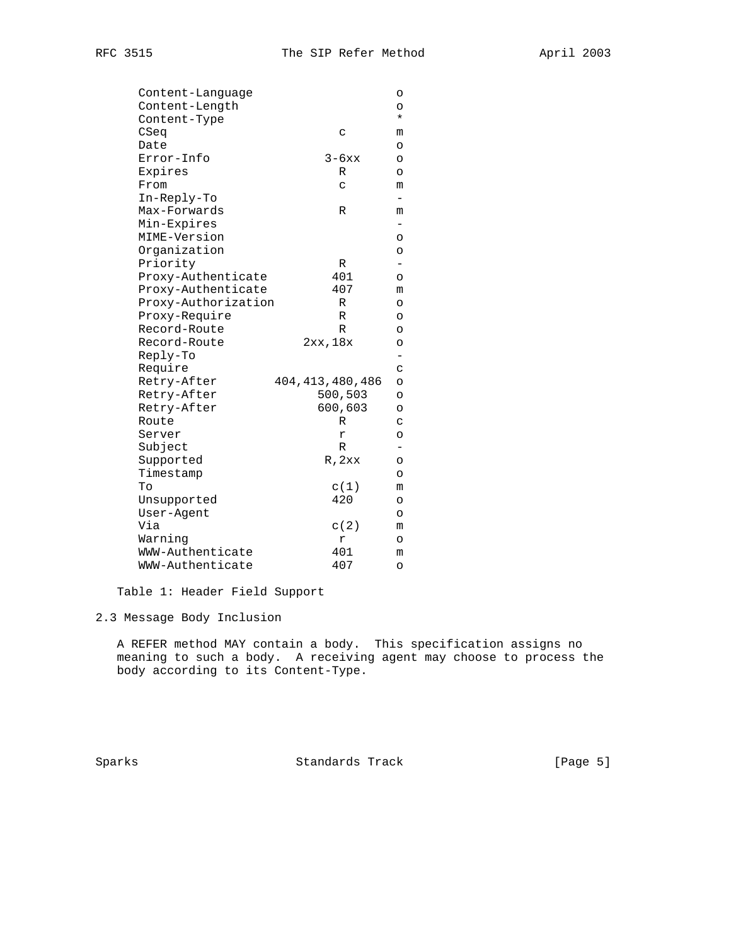| ADYII | 2003 |  |
|-------|------|--|
|       |      |  |

| Content-Language    |                    | O       |
|---------------------|--------------------|---------|
| Content-Length      |                    | O       |
| Content-Type        |                    | ¥       |
| CSeq                | $\mathbf C$        | m       |
| Date                |                    | O       |
| Error-Info          | $3-6xx$            | O       |
| Expires             | R                  | $\circ$ |
| From                | C                  | m       |
| In-Reply-To         |                    |         |
| Max-Forwards        | R                  | m       |
| Min-Expires         |                    |         |
| MIME-Version        |                    | $\circ$ |
| Organization        |                    | O       |
| Priority            | R                  |         |
| Proxy-Authenticate  | 401                | O       |
| Proxy-Authenticate  | 407                | m       |
| Proxy-Authorization | R                  | O       |
| Proxy-Require       | R                  | O       |
| Record-Route        | R                  | O       |
| Record-Route        | 2xx,18x            | O       |
| Reply-To            |                    |         |
| Require             |                    | C       |
| Retry-After         | 404, 413, 480, 486 | $\circ$ |
| Retry-After         | 500,503            | O       |
| Retry-After         | 600,603            | O       |
| Route               | R                  | С       |
| Server              | r                  | O       |
| Subject             | $\mathbb{R}$       |         |
| Supported           | R, 2xx             | O       |
| Timestamp           |                    | O       |
| To                  | c(1)               | m       |
| Unsupported         | 420                | O       |
| User-Agent          |                    | O       |
| Via                 | C(2)               | m       |
| Warning             | r                  | O       |
| WWW-Authenticate    | 401                | m       |
| WWW-Authenticate    | 407                | $\circ$ |

Table 1: Header Field Support

2.3 Message Body Inclusion

 A REFER method MAY contain a body. This specification assigns no meaning to such a body. A receiving agent may choose to process the body according to its Content-Type.

Sparks Standards Track [Page 5]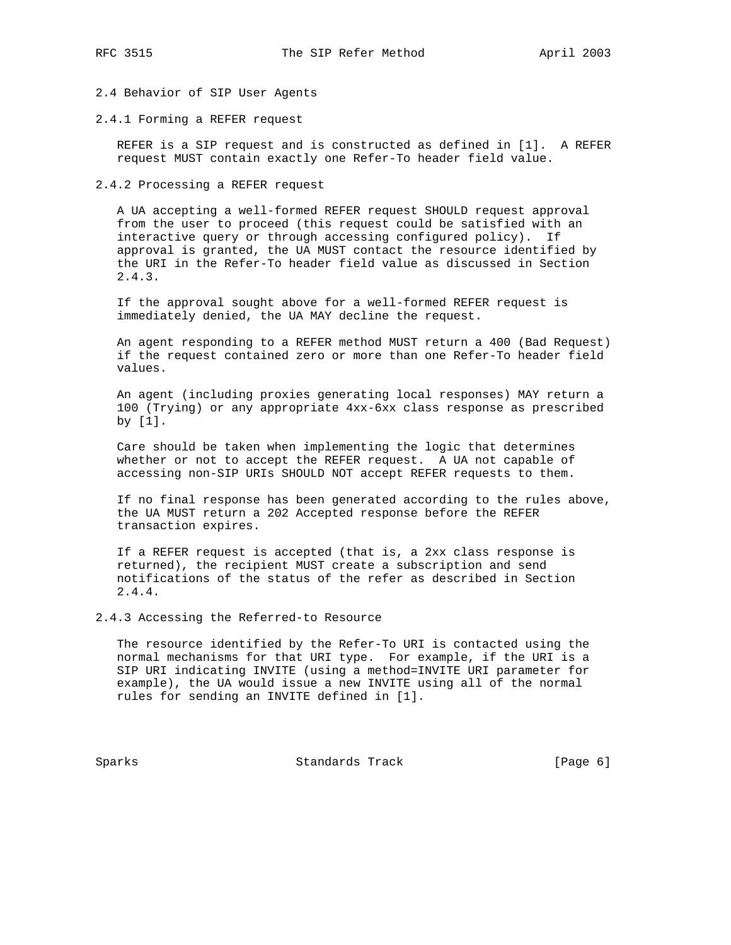2.4 Behavior of SIP User Agents

2.4.1 Forming a REFER request

 REFER is a SIP request and is constructed as defined in [1]. A REFER request MUST contain exactly one Refer-To header field value.

2.4.2 Processing a REFER request

 A UA accepting a well-formed REFER request SHOULD request approval from the user to proceed (this request could be satisfied with an interactive query or through accessing configured policy). If approval is granted, the UA MUST contact the resource identified by the URI in the Refer-To header field value as discussed in Section 2.4.3.

 If the approval sought above for a well-formed REFER request is immediately denied, the UA MAY decline the request.

 An agent responding to a REFER method MUST return a 400 (Bad Request) if the request contained zero or more than one Refer-To header field values.

 An agent (including proxies generating local responses) MAY return a 100 (Trying) or any appropriate 4xx-6xx class response as prescribed by [1].

 Care should be taken when implementing the logic that determines whether or not to accept the REFER request. A UA not capable of accessing non-SIP URIs SHOULD NOT accept REFER requests to them.

 If no final response has been generated according to the rules above, the UA MUST return a 202 Accepted response before the REFER transaction expires.

 If a REFER request is accepted (that is, a 2xx class response is returned), the recipient MUST create a subscription and send notifications of the status of the refer as described in Section 2.4.4.

2.4.3 Accessing the Referred-to Resource

 The resource identified by the Refer-To URI is contacted using the normal mechanisms for that URI type. For example, if the URI is a SIP URI indicating INVITE (using a method=INVITE URI parameter for example), the UA would issue a new INVITE using all of the normal rules for sending an INVITE defined in [1].

Sparks Standards Track [Page 6]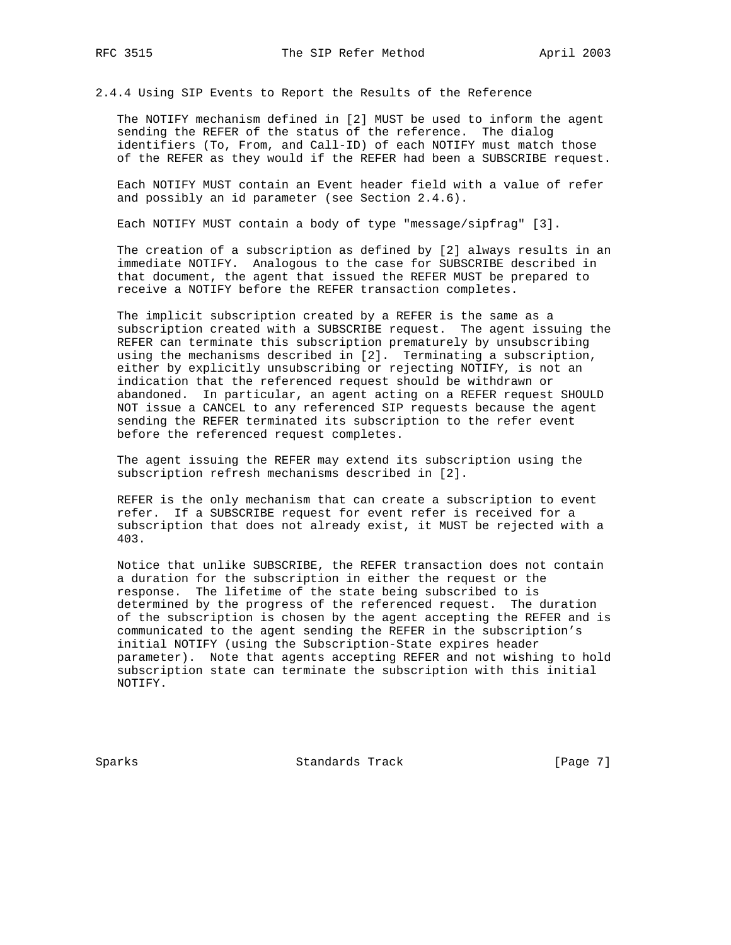2.4.4 Using SIP Events to Report the Results of the Reference

 The NOTIFY mechanism defined in [2] MUST be used to inform the agent sending the REFER of the status of the reference. The dialog identifiers (To, From, and Call-ID) of each NOTIFY must match those of the REFER as they would if the REFER had been a SUBSCRIBE request.

 Each NOTIFY MUST contain an Event header field with a value of refer and possibly an id parameter (see Section 2.4.6).

Each NOTIFY MUST contain a body of type "message/sipfrag" [3].

 The creation of a subscription as defined by [2] always results in an immediate NOTIFY. Analogous to the case for SUBSCRIBE described in that document, the agent that issued the REFER MUST be prepared to receive a NOTIFY before the REFER transaction completes.

 The implicit subscription created by a REFER is the same as a subscription created with a SUBSCRIBE request. The agent issuing the REFER can terminate this subscription prematurely by unsubscribing using the mechanisms described in [2]. Terminating a subscription, either by explicitly unsubscribing or rejecting NOTIFY, is not an indication that the referenced request should be withdrawn or abandoned. In particular, an agent acting on a REFER request SHOULD NOT issue a CANCEL to any referenced SIP requests because the agent sending the REFER terminated its subscription to the refer event before the referenced request completes.

 The agent issuing the REFER may extend its subscription using the subscription refresh mechanisms described in [2].

 REFER is the only mechanism that can create a subscription to event refer. If a SUBSCRIBE request for event refer is received for a subscription that does not already exist, it MUST be rejected with a 403.

 Notice that unlike SUBSCRIBE, the REFER transaction does not contain a duration for the subscription in either the request or the response. The lifetime of the state being subscribed to is determined by the progress of the referenced request. The duration of the subscription is chosen by the agent accepting the REFER and is communicated to the agent sending the REFER in the subscription's initial NOTIFY (using the Subscription-State expires header parameter). Note that agents accepting REFER and not wishing to hold subscription state can terminate the subscription with this initial NOTIFY.

Sparks Standards Track [Page 7]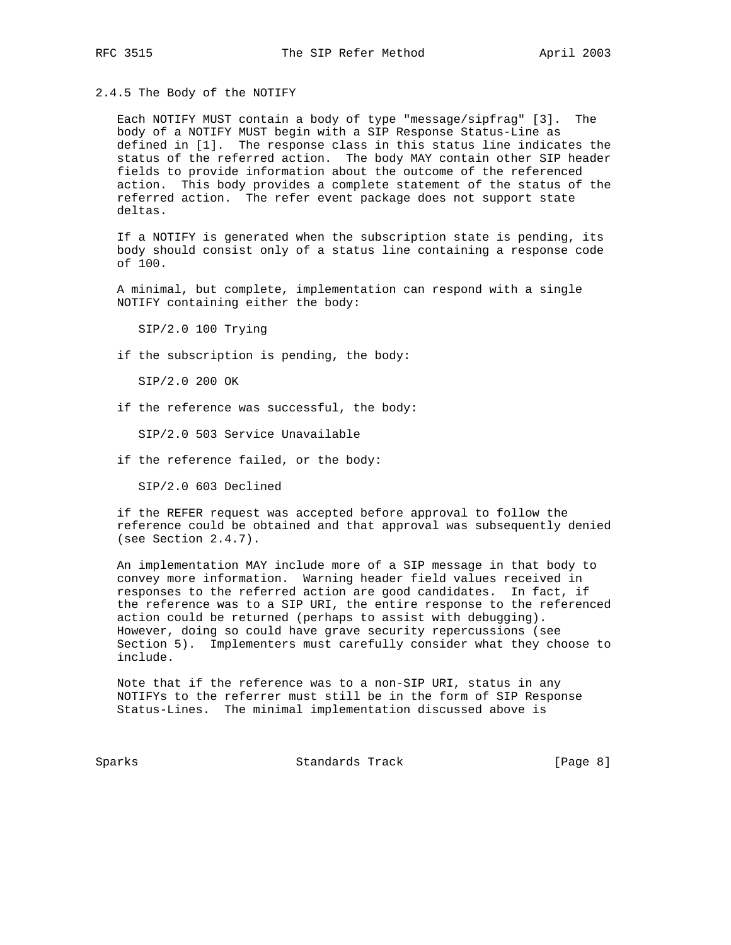#### 2.4.5 The Body of the NOTIFY

 Each NOTIFY MUST contain a body of type "message/sipfrag" [3]. The body of a NOTIFY MUST begin with a SIP Response Status-Line as defined in [1]. The response class in this status line indicates the status of the referred action. The body MAY contain other SIP header fields to provide information about the outcome of the referenced action. This body provides a complete statement of the status of the referred action. The refer event package does not support state deltas.

 If a NOTIFY is generated when the subscription state is pending, its body should consist only of a status line containing a response code of 100.

 A minimal, but complete, implementation can respond with a single NOTIFY containing either the body:

SIP/2.0 100 Trying

if the subscription is pending, the body:

SIP/2.0 200 OK

if the reference was successful, the body:

SIP/2.0 503 Service Unavailable

if the reference failed, or the body:

SIP/2.0 603 Declined

 if the REFER request was accepted before approval to follow the reference could be obtained and that approval was subsequently denied (see Section 2.4.7).

 An implementation MAY include more of a SIP message in that body to convey more information. Warning header field values received in responses to the referred action are good candidates. In fact, if the reference was to a SIP URI, the entire response to the referenced action could be returned (perhaps to assist with debugging). However, doing so could have grave security repercussions (see Section 5). Implementers must carefully consider what they choose to include.

 Note that if the reference was to a non-SIP URI, status in any NOTIFYs to the referrer must still be in the form of SIP Response Status-Lines. The minimal implementation discussed above is

Sparks Standards Track [Page 8]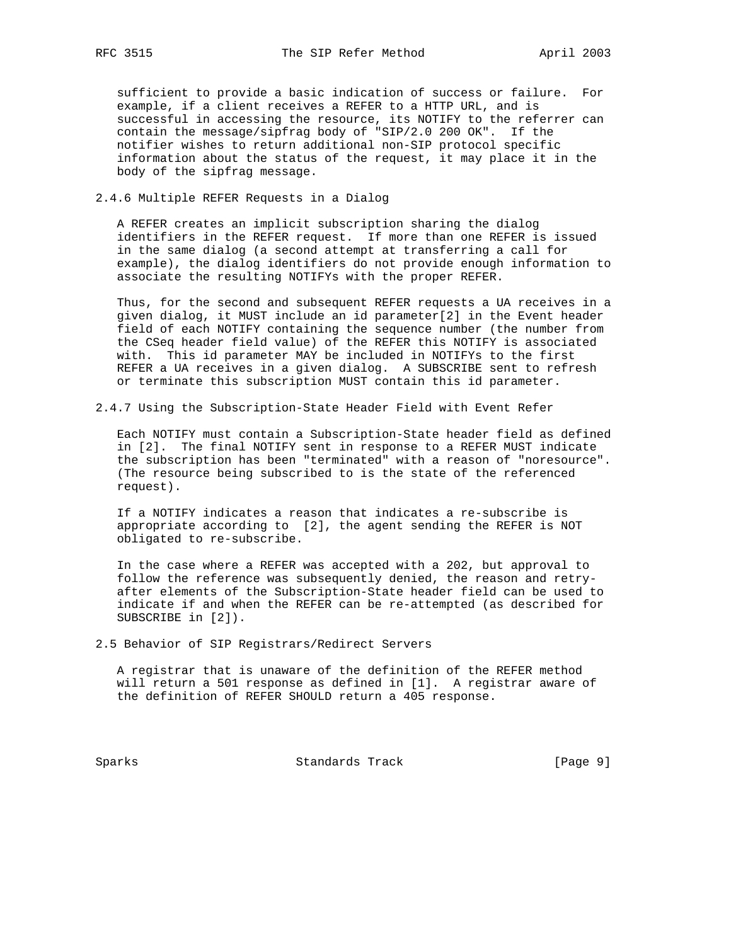sufficient to provide a basic indication of success or failure. For example, if a client receives a REFER to a HTTP URL, and is successful in accessing the resource, its NOTIFY to the referrer can contain the message/sipfrag body of "SIP/2.0 200 OK". If the notifier wishes to return additional non-SIP protocol specific information about the status of the request, it may place it in the body of the sipfrag message.

## 2.4.6 Multiple REFER Requests in a Dialog

 A REFER creates an implicit subscription sharing the dialog identifiers in the REFER request. If more than one REFER is issued in the same dialog (a second attempt at transferring a call for example), the dialog identifiers do not provide enough information to associate the resulting NOTIFYs with the proper REFER.

 Thus, for the second and subsequent REFER requests a UA receives in a given dialog, it MUST include an id parameter[2] in the Event header field of each NOTIFY containing the sequence number (the number from the CSeq header field value) of the REFER this NOTIFY is associated with. This id parameter MAY be included in NOTIFYs to the first REFER a UA receives in a given dialog. A SUBSCRIBE sent to refresh or terminate this subscription MUST contain this id parameter.

2.4.7 Using the Subscription-State Header Field with Event Refer

 Each NOTIFY must contain a Subscription-State header field as defined in [2]. The final NOTIFY sent in response to a REFER MUST indicate the subscription has been "terminated" with a reason of "noresource". (The resource being subscribed to is the state of the referenced request).

 If a NOTIFY indicates a reason that indicates a re-subscribe is appropriate according to [2], the agent sending the REFER is NOT obligated to re-subscribe.

 In the case where a REFER was accepted with a 202, but approval to follow the reference was subsequently denied, the reason and retry after elements of the Subscription-State header field can be used to indicate if and when the REFER can be re-attempted (as described for SUBSCRIBE in [2]).

2.5 Behavior of SIP Registrars/Redirect Servers

 A registrar that is unaware of the definition of the REFER method will return a 501 response as defined in [1]. A registrar aware of the definition of REFER SHOULD return a 405 response.

Sparks Standards Track [Page 9]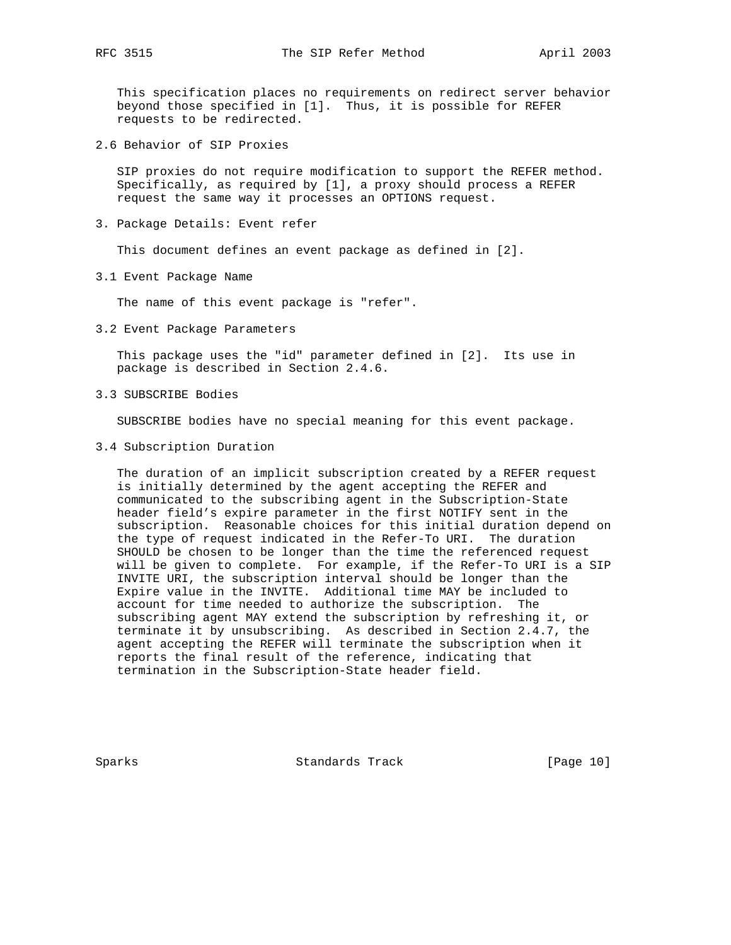This specification places no requirements on redirect server behavior beyond those specified in [1]. Thus, it is possible for REFER requests to be redirected.

2.6 Behavior of SIP Proxies

 SIP proxies do not require modification to support the REFER method. Specifically, as required by [1], a proxy should process a REFER request the same way it processes an OPTIONS request.

3. Package Details: Event refer

This document defines an event package as defined in [2].

3.1 Event Package Name

The name of this event package is "refer".

3.2 Event Package Parameters

 This package uses the "id" parameter defined in [2]. Its use in package is described in Section 2.4.6.

3.3 SUBSCRIBE Bodies

SUBSCRIBE bodies have no special meaning for this event package.

3.4 Subscription Duration

 The duration of an implicit subscription created by a REFER request is initially determined by the agent accepting the REFER and communicated to the subscribing agent in the Subscription-State header field's expire parameter in the first NOTIFY sent in the subscription. Reasonable choices for this initial duration depend on the type of request indicated in the Refer-To URI. The duration SHOULD be chosen to be longer than the time the referenced request will be given to complete. For example, if the Refer-To URI is a SIP INVITE URI, the subscription interval should be longer than the Expire value in the INVITE. Additional time MAY be included to account for time needed to authorize the subscription. The subscribing agent MAY extend the subscription by refreshing it, or terminate it by unsubscribing. As described in Section 2.4.7, the agent accepting the REFER will terminate the subscription when it reports the final result of the reference, indicating that termination in the Subscription-State header field.

Sparks Standards Track [Page 10]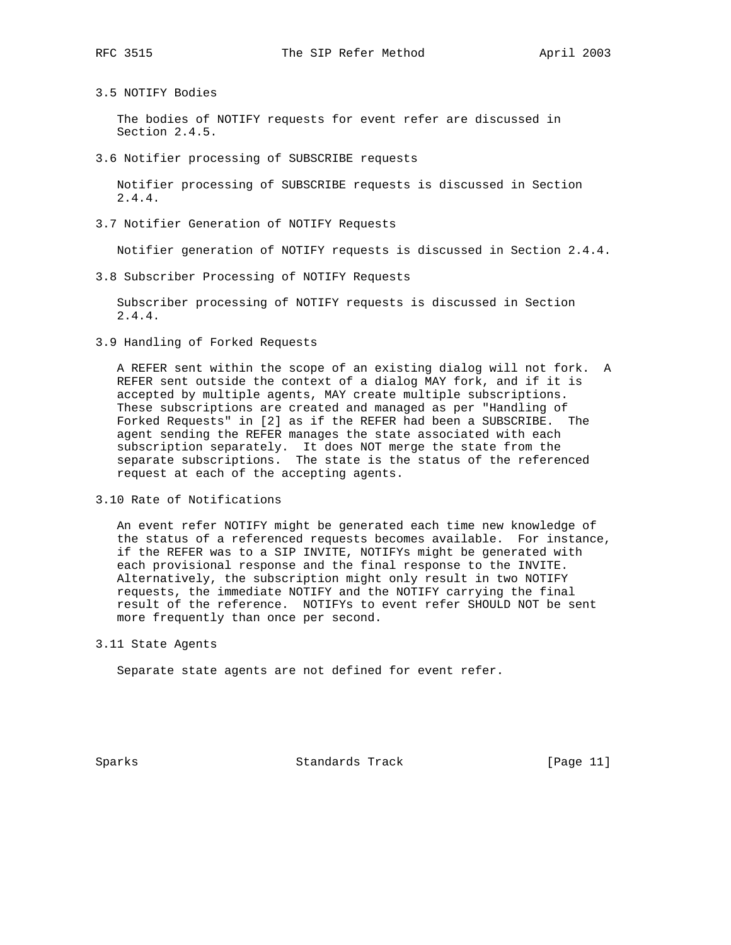3.5 NOTIFY Bodies

 The bodies of NOTIFY requests for event refer are discussed in Section 2.4.5.

3.6 Notifier processing of SUBSCRIBE requests

 Notifier processing of SUBSCRIBE requests is discussed in Section 2.4.4.

3.7 Notifier Generation of NOTIFY Requests

Notifier generation of NOTIFY requests is discussed in Section 2.4.4.

3.8 Subscriber Processing of NOTIFY Requests

 Subscriber processing of NOTIFY requests is discussed in Section 2.4.4.

3.9 Handling of Forked Requests

 A REFER sent within the scope of an existing dialog will not fork. A REFER sent outside the context of a dialog MAY fork, and if it is accepted by multiple agents, MAY create multiple subscriptions. These subscriptions are created and managed as per "Handling of Forked Requests" in [2] as if the REFER had been a SUBSCRIBE. The agent sending the REFER manages the state associated with each subscription separately. It does NOT merge the state from the separate subscriptions. The state is the status of the referenced request at each of the accepting agents.

3.10 Rate of Notifications

 An event refer NOTIFY might be generated each time new knowledge of the status of a referenced requests becomes available. For instance, if the REFER was to a SIP INVITE, NOTIFYs might be generated with each provisional response and the final response to the INVITE. Alternatively, the subscription might only result in two NOTIFY requests, the immediate NOTIFY and the NOTIFY carrying the final result of the reference. NOTIFYs to event refer SHOULD NOT be sent more frequently than once per second.

3.11 State Agents

Separate state agents are not defined for event refer.

Sparks Standards Track [Page 11]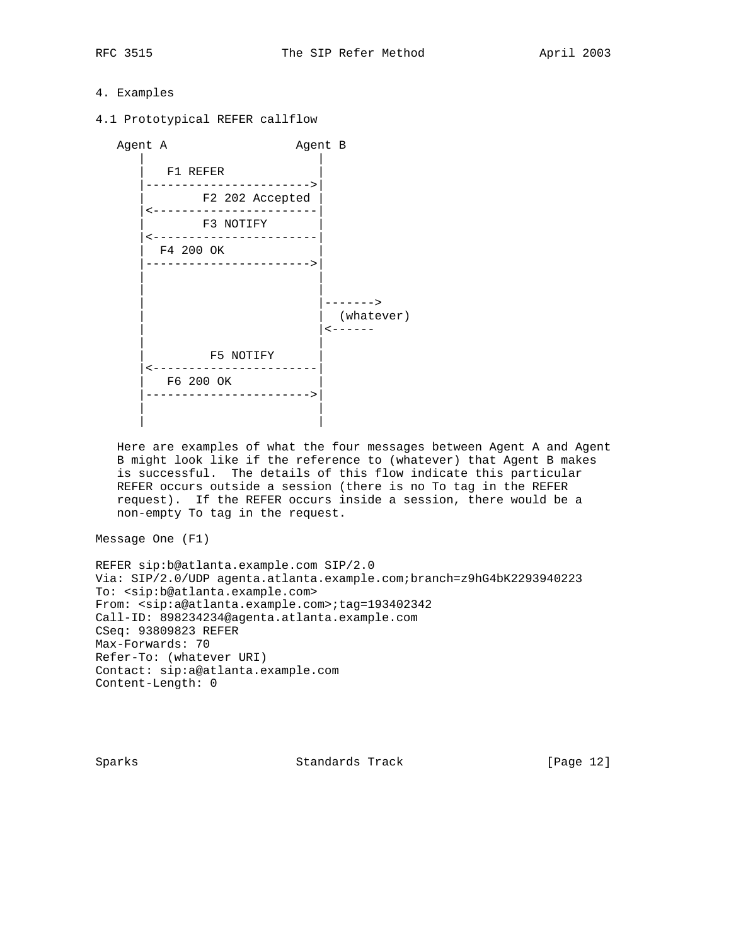4. Examples

## 4.1 Prototypical REFER callflow



 Here are examples of what the four messages between Agent A and Agent B might look like if the reference to (whatever) that Agent B makes is successful. The details of this flow indicate this particular REFER occurs outside a session (there is no To tag in the REFER request). If the REFER occurs inside a session, there would be a non-empty To tag in the request.

Message One (F1)

REFER sip:b@atlanta.example.com SIP/2.0 Via: SIP/2.0/UDP agenta.atlanta.example.com;branch=z9hG4bK2293940223 To: <sip:b@atlanta.example.com> From: <sip:a@atlanta.example.com>;tag=193402342 Call-ID: 898234234@agenta.atlanta.example.com CSeq: 93809823 REFER Max-Forwards: 70 Refer-To: (whatever URI) Contact: sip:a@atlanta.example.com Content-Length: 0

Sparks Standards Track [Page 12]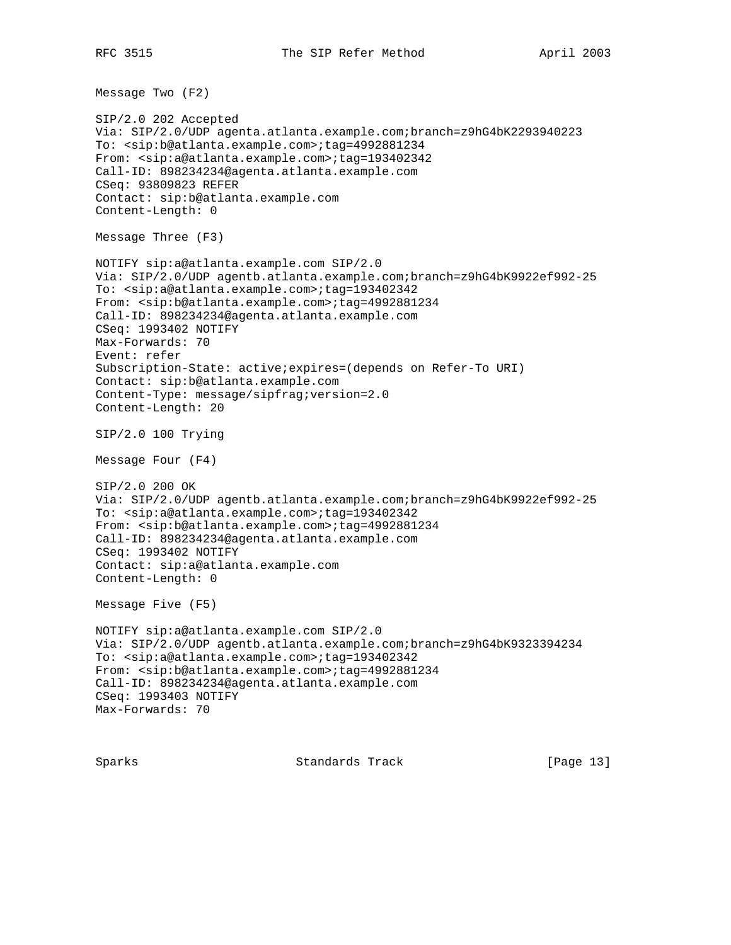```
Message Two (F2)
```
SIP/2.0 202 Accepted Via: SIP/2.0/UDP agenta.atlanta.example.com;branch=z9hG4bK2293940223 To: <sip:b@atlanta.example.com>;tag=4992881234 From: <sip:a@atlanta.example.com>;tag=193402342 Call-ID: 898234234@agenta.atlanta.example.com CSeq: 93809823 REFER Contact: sip:b@atlanta.example.com Content-Length: 0 Message Three (F3) NOTIFY sip:a@atlanta.example.com SIP/2.0 Via: SIP/2.0/UDP agentb.atlanta.example.com;branch=z9hG4bK9922ef992-25 To: <sip:a@atlanta.example.com>;tag=193402342 From: <sip:b@atlanta.example.com>;tag=4992881234 Call-ID: 898234234@agenta.atlanta.example.com CSeq: 1993402 NOTIFY Max-Forwards: 70 Event: refer Subscription-State: active;expires=(depends on Refer-To URI) Contact: sip:b@atlanta.example.com Content-Type: message/sipfrag;version=2.0 Content-Length: 20 SIP/2.0 100 Trying Message Four (F4) SIP/2.0 200 OK Via: SIP/2.0/UDP agentb.atlanta.example.com;branch=z9hG4bK9922ef992-25 To: <sip:a@atlanta.example.com>;tag=193402342 From: <sip:b@atlanta.example.com>;tag=4992881234 Call-ID: 898234234@agenta.atlanta.example.com CSeq: 1993402 NOTIFY Contact: sip:a@atlanta.example.com Content-Length: 0 Message Five (F5) NOTIFY sip:a@atlanta.example.com SIP/2.0 Via: SIP/2.0/UDP agentb.atlanta.example.com;branch=z9hG4bK9323394234 To: <sip:a@atlanta.example.com>;tag=193402342 From: <sip:b@atlanta.example.com>;tag=4992881234 Call-ID: 898234234@agenta.atlanta.example.com CSeq: 1993403 NOTIFY Max-Forwards: 70

Sparks Standards Track [Page 13]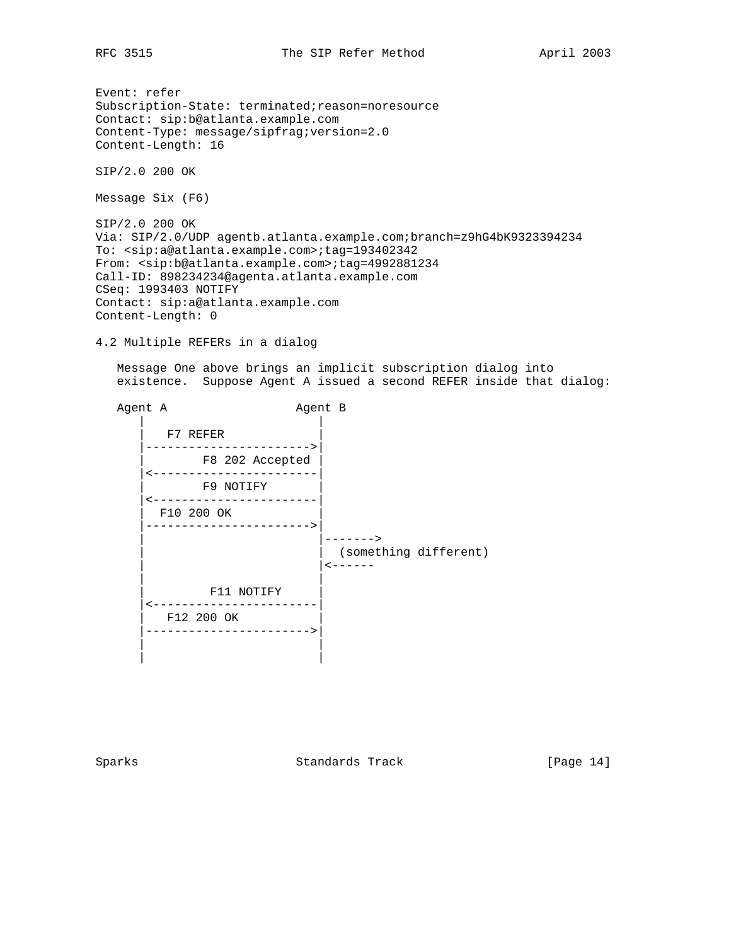Event: refer Subscription-State: terminated;reason=noresource Contact: sip:b@atlanta.example.com Content-Type: message/sipfrag;version=2.0 Content-Length: 16

SIP/2.0 200 OK

Message Six (F6)

SIP/2.0 200 OK Via: SIP/2.0/UDP agentb.atlanta.example.com;branch=z9hG4bK9323394234 To: <sip:a@atlanta.example.com>;tag=193402342 From: <sip:b@atlanta.example.com>;tag=4992881234 Call-ID: 898234234@agenta.atlanta.example.com CSeq: 1993403 NOTIFY Contact: sip:a@atlanta.example.com Content-Length: 0

4.2 Multiple REFERs in a dialog

 Message One above brings an implicit subscription dialog into existence. Suppose Agent A issued a second REFER inside that dialog:

Agent A Agent B | |  $F7$  REFER |----------------------->| F8 202 Accepted |<-----------------------| F9 NOTIFY |<-----------------------| F10 200 OK |----------------------->| | |-------> (something different)  $|$  <------ | | F11 NOTIFY |<-----------------------| | F12 200 OK | |----------------------->| | | | |

Sparks Standards Track [Page 14]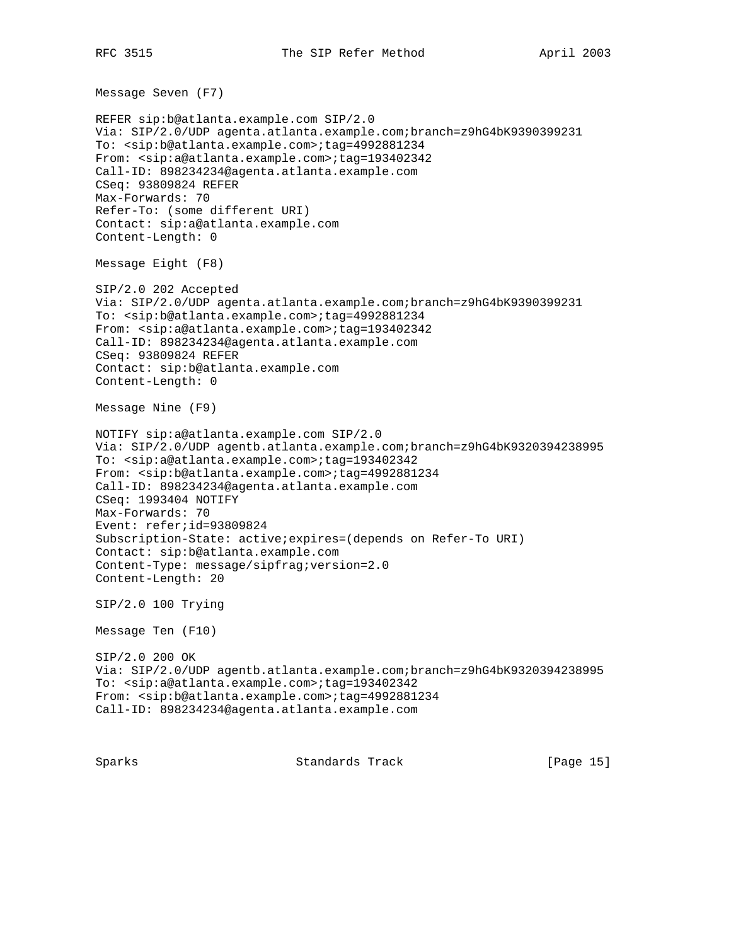Message Seven (F7)

REFER sip:b@atlanta.example.com SIP/2.0 Via: SIP/2.0/UDP agenta.atlanta.example.com;branch=z9hG4bK9390399231 To: <sip:b@atlanta.example.com>;tag=4992881234 From: <sip:a@atlanta.example.com>;tag=193402342 Call-ID: 898234234@agenta.atlanta.example.com CSeq: 93809824 REFER Max-Forwards: 70 Refer-To: (some different URI) Contact: sip:a@atlanta.example.com Content-Length: 0 Message Eight (F8) SIP/2.0 202 Accepted Via: SIP/2.0/UDP agenta.atlanta.example.com;branch=z9hG4bK9390399231 To: <sip:b@atlanta.example.com>;tag=4992881234 From: <sip:a@atlanta.example.com>;tag=193402342 Call-ID: 898234234@agenta.atlanta.example.com CSeq: 93809824 REFER Contact: sip:b@atlanta.example.com Content-Length: 0 Message Nine (F9) NOTIFY sip:a@atlanta.example.com SIP/2.0 Via: SIP/2.0/UDP agentb.atlanta.example.com;branch=z9hG4bK9320394238995 To: <sip:a@atlanta.example.com>;tag=193402342 From: <sip:b@atlanta.example.com>;tag=4992881234 Call-ID: 898234234@agenta.atlanta.example.com CSeq: 1993404 NOTIFY Max-Forwards: 70 Event: refer;id=93809824 Subscription-State: active;expires=(depends on Refer-To URI) Contact: sip:b@atlanta.example.com Content-Type: message/sipfrag;version=2.0 Content-Length: 20 SIP/2.0 100 Trying Message Ten (F10) SIP/2.0 200 OK Via: SIP/2.0/UDP agentb.atlanta.example.com;branch=z9hG4bK9320394238995 To: <sip:a@atlanta.example.com>;tag=193402342 From: <sip:b@atlanta.example.com>;tag=4992881234 Call-ID: 898234234@agenta.atlanta.example.com

Sparks Standards Track [Page 15]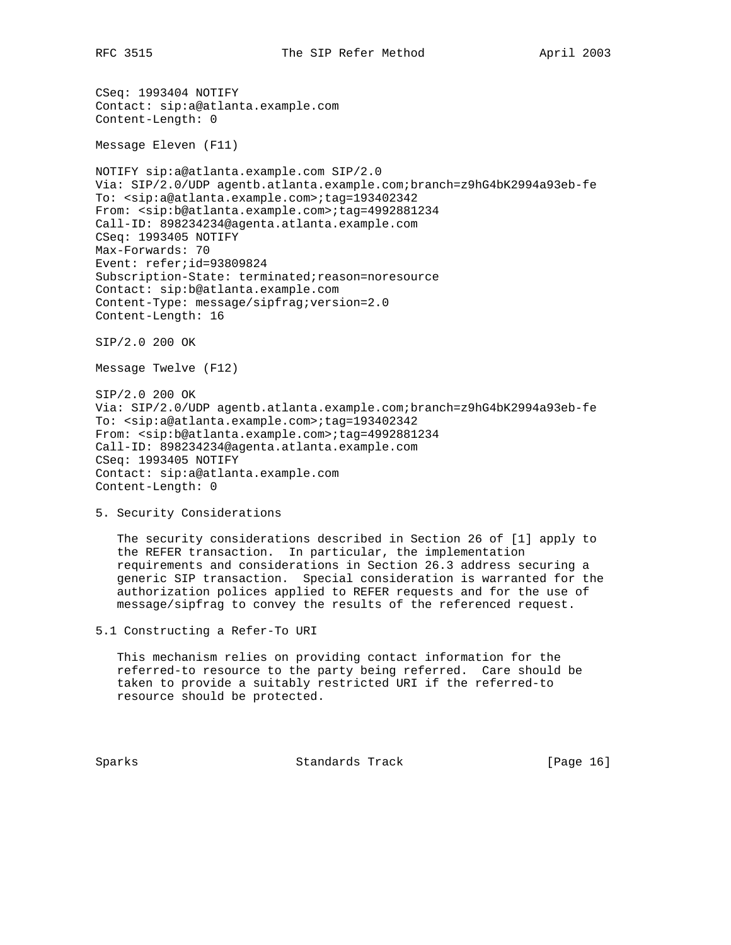CSeq: 1993404 NOTIFY Contact: sip:a@atlanta.example.com Content-Length: 0

Message Eleven (F11)

NOTIFY sip:a@atlanta.example.com SIP/2.0 Via: SIP/2.0/UDP agentb.atlanta.example.com;branch=z9hG4bK2994a93eb-fe To: <sip:a@atlanta.example.com>;tag=193402342 From: <sip:b@atlanta.example.com>;tag=4992881234 Call-ID: 898234234@agenta.atlanta.example.com CSeq: 1993405 NOTIFY Max-Forwards: 70 Event: refer;id=93809824 Subscription-State: terminated;reason=noresource Contact: sip:b@atlanta.example.com Content-Type: message/sipfrag;version=2.0 Content-Length: 16

SIP/2.0 200 OK

Message Twelve (F12)

SIP/2.0 200 OK Via: SIP/2.0/UDP agentb.atlanta.example.com;branch=z9hG4bK2994a93eb-fe To: <sip:a@atlanta.example.com>;tag=193402342 From: <sip:b@atlanta.example.com>;tag=4992881234 Call-ID: 898234234@agenta.atlanta.example.com CSeq: 1993405 NOTIFY Contact: sip:a@atlanta.example.com Content-Length: 0

```
5. Security Considerations
```
 The security considerations described in Section 26 of [1] apply to the REFER transaction. In particular, the implementation requirements and considerations in Section 26.3 address securing a generic SIP transaction. Special consideration is warranted for the authorization polices applied to REFER requests and for the use of message/sipfrag to convey the results of the referenced request.

5.1 Constructing a Refer-To URI

 This mechanism relies on providing contact information for the referred-to resource to the party being referred. Care should be taken to provide a suitably restricted URI if the referred-to resource should be protected.

Sparks Standards Track [Page 16]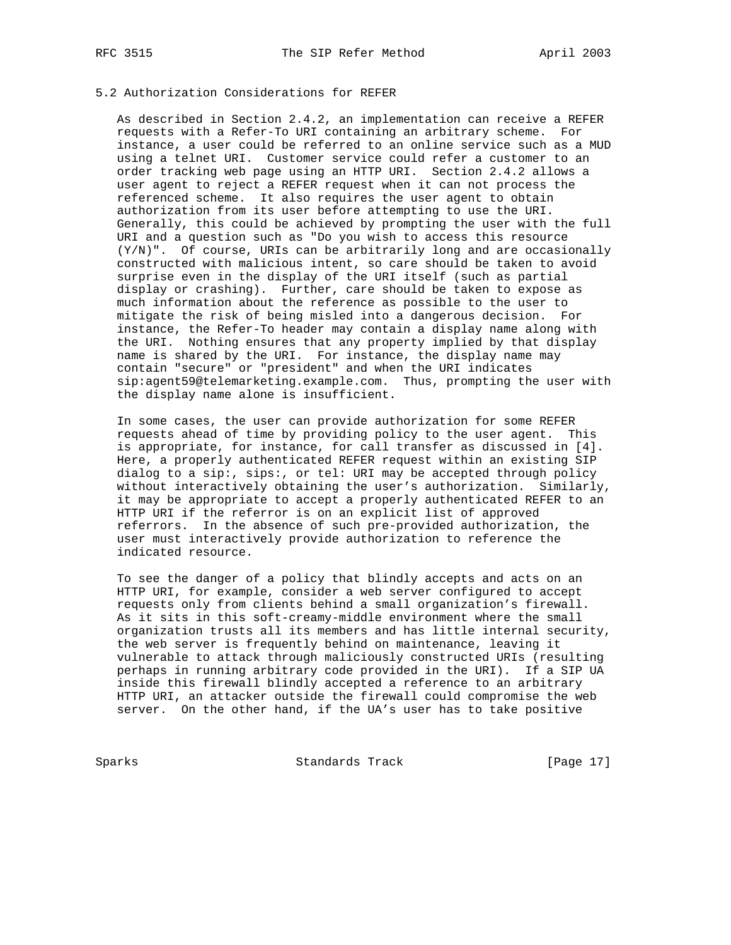# 5.2 Authorization Considerations for REFER

 As described in Section 2.4.2, an implementation can receive a REFER requests with a Refer-To URI containing an arbitrary scheme. For instance, a user could be referred to an online service such as a MUD using a telnet URI. Customer service could refer a customer to an order tracking web page using an HTTP URI. Section 2.4.2 allows a user agent to reject a REFER request when it can not process the referenced scheme. It also requires the user agent to obtain authorization from its user before attempting to use the URI. Generally, this could be achieved by prompting the user with the full URI and a question such as "Do you wish to access this resource (Y/N)". Of course, URIs can be arbitrarily long and are occasionally constructed with malicious intent, so care should be taken to avoid surprise even in the display of the URI itself (such as partial display or crashing). Further, care should be taken to expose as much information about the reference as possible to the user to mitigate the risk of being misled into a dangerous decision. For instance, the Refer-To header may contain a display name along with the URI. Nothing ensures that any property implied by that display name is shared by the URI. For instance, the display name may contain "secure" or "president" and when the URI indicates sip:agent59@telemarketing.example.com. Thus, prompting the user with the display name alone is insufficient.

 In some cases, the user can provide authorization for some REFER requests ahead of time by providing policy to the user agent. This is appropriate, for instance, for call transfer as discussed in [4]. Here, a properly authenticated REFER request within an existing SIP dialog to a sip:, sips:, or tel: URI may be accepted through policy without interactively obtaining the user's authorization. Similarly, it may be appropriate to accept a properly authenticated REFER to an HTTP URI if the referror is on an explicit list of approved referrors. In the absence of such pre-provided authorization, the user must interactively provide authorization to reference the indicated resource.

 To see the danger of a policy that blindly accepts and acts on an HTTP URI, for example, consider a web server configured to accept requests only from clients behind a small organization's firewall. As it sits in this soft-creamy-middle environment where the small organization trusts all its members and has little internal security, the web server is frequently behind on maintenance, leaving it vulnerable to attack through maliciously constructed URIs (resulting perhaps in running arbitrary code provided in the URI). If a SIP UA inside this firewall blindly accepted a reference to an arbitrary HTTP URI, an attacker outside the firewall could compromise the web server. On the other hand, if the UA's user has to take positive

Sparks Standards Track [Page 17]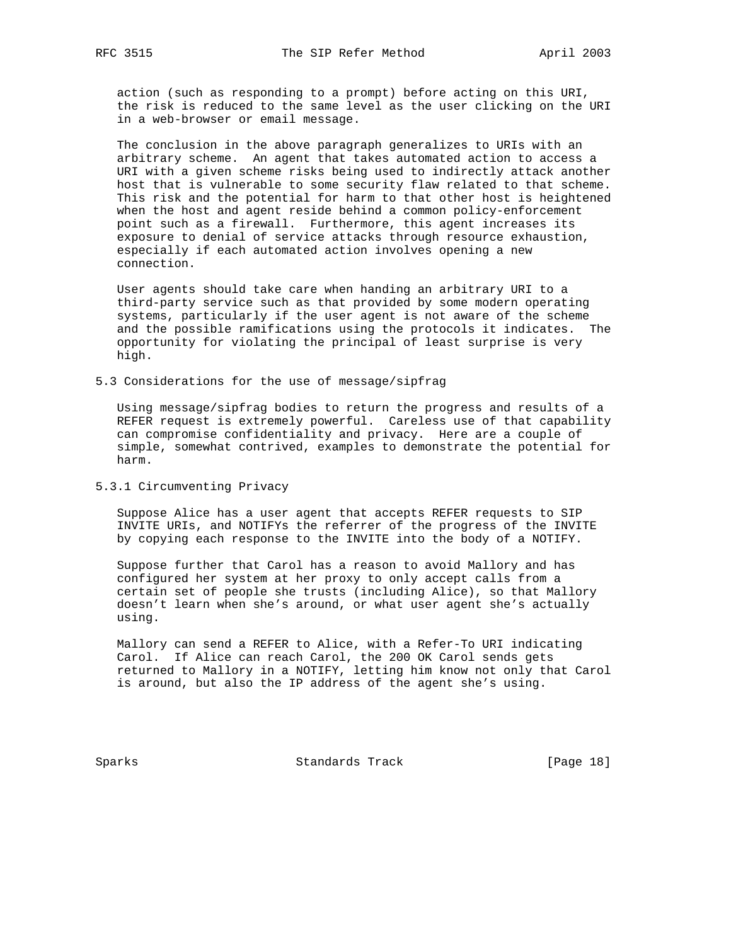action (such as responding to a prompt) before acting on this URI, the risk is reduced to the same level as the user clicking on the URI in a web-browser or email message.

 The conclusion in the above paragraph generalizes to URIs with an arbitrary scheme. An agent that takes automated action to access a URI with a given scheme risks being used to indirectly attack another host that is vulnerable to some security flaw related to that scheme. This risk and the potential for harm to that other host is heightened when the host and agent reside behind a common policy-enforcement point such as a firewall. Furthermore, this agent increases its exposure to denial of service attacks through resource exhaustion, especially if each automated action involves opening a new connection.

 User agents should take care when handing an arbitrary URI to a third-party service such as that provided by some modern operating systems, particularly if the user agent is not aware of the scheme and the possible ramifications using the protocols it indicates. The opportunity for violating the principal of least surprise is very high.

5.3 Considerations for the use of message/sipfrag

 Using message/sipfrag bodies to return the progress and results of a REFER request is extremely powerful. Careless use of that capability can compromise confidentiality and privacy. Here are a couple of simple, somewhat contrived, examples to demonstrate the potential for harm.

#### 5.3.1 Circumventing Privacy

 Suppose Alice has a user agent that accepts REFER requests to SIP INVITE URIs, and NOTIFYs the referrer of the progress of the INVITE by copying each response to the INVITE into the body of a NOTIFY.

 Suppose further that Carol has a reason to avoid Mallory and has configured her system at her proxy to only accept calls from a certain set of people she trusts (including Alice), so that Mallory doesn't learn when she's around, or what user agent she's actually using.

 Mallory can send a REFER to Alice, with a Refer-To URI indicating Carol. If Alice can reach Carol, the 200 OK Carol sends gets returned to Mallory in a NOTIFY, letting him know not only that Carol is around, but also the IP address of the agent she's using.

Sparks Standards Track [Page 18]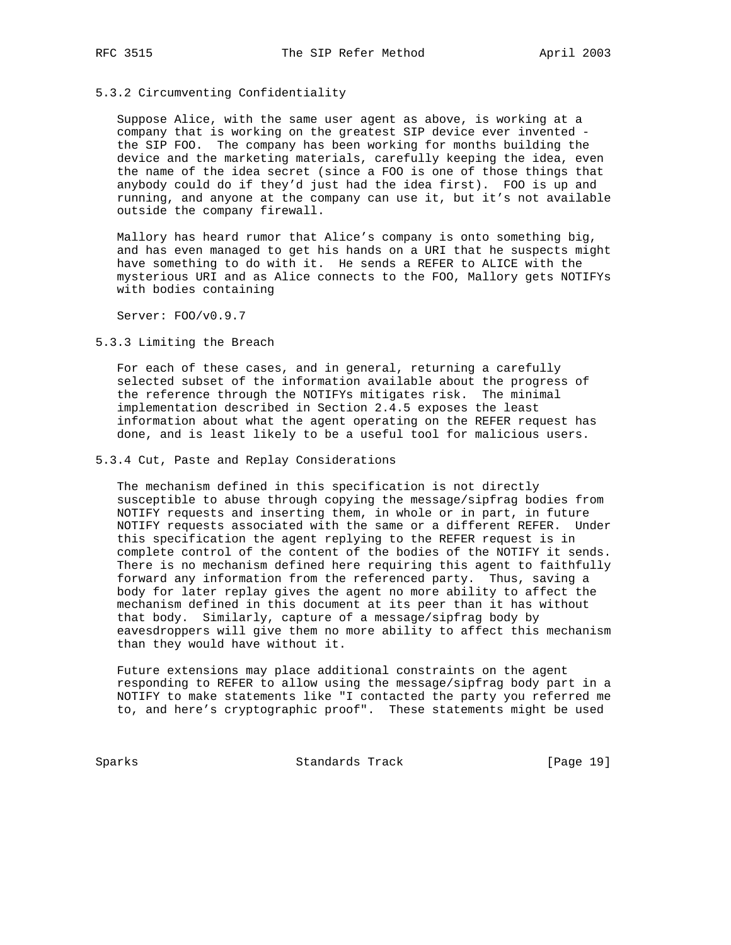# 5.3.2 Circumventing Confidentiality

 Suppose Alice, with the same user agent as above, is working at a company that is working on the greatest SIP device ever invented the SIP FOO. The company has been working for months building the device and the marketing materials, carefully keeping the idea, even the name of the idea secret (since a FOO is one of those things that anybody could do if they'd just had the idea first). FOO is up and running, and anyone at the company can use it, but it's not available outside the company firewall.

 Mallory has heard rumor that Alice's company is onto something big, and has even managed to get his hands on a URI that he suspects might have something to do with it. He sends a REFER to ALICE with the mysterious URI and as Alice connects to the FOO, Mallory gets NOTIFYs with bodies containing

Server: FOO/v0.9.7

#### 5.3.3 Limiting the Breach

 For each of these cases, and in general, returning a carefully selected subset of the information available about the progress of the reference through the NOTIFYs mitigates risk. The minimal implementation described in Section 2.4.5 exposes the least information about what the agent operating on the REFER request has done, and is least likely to be a useful tool for malicious users.

## 5.3.4 Cut, Paste and Replay Considerations

 The mechanism defined in this specification is not directly susceptible to abuse through copying the message/sipfrag bodies from NOTIFY requests and inserting them, in whole or in part, in future NOTIFY requests associated with the same or a different REFER. Under this specification the agent replying to the REFER request is in complete control of the content of the bodies of the NOTIFY it sends. There is no mechanism defined here requiring this agent to faithfully forward any information from the referenced party. Thus, saving a body for later replay gives the agent no more ability to affect the mechanism defined in this document at its peer than it has without that body. Similarly, capture of a message/sipfrag body by eavesdroppers will give them no more ability to affect this mechanism than they would have without it.

 Future extensions may place additional constraints on the agent responding to REFER to allow using the message/sipfrag body part in a NOTIFY to make statements like "I contacted the party you referred me to, and here's cryptographic proof". These statements might be used

Sparks Standards Track [Page 19]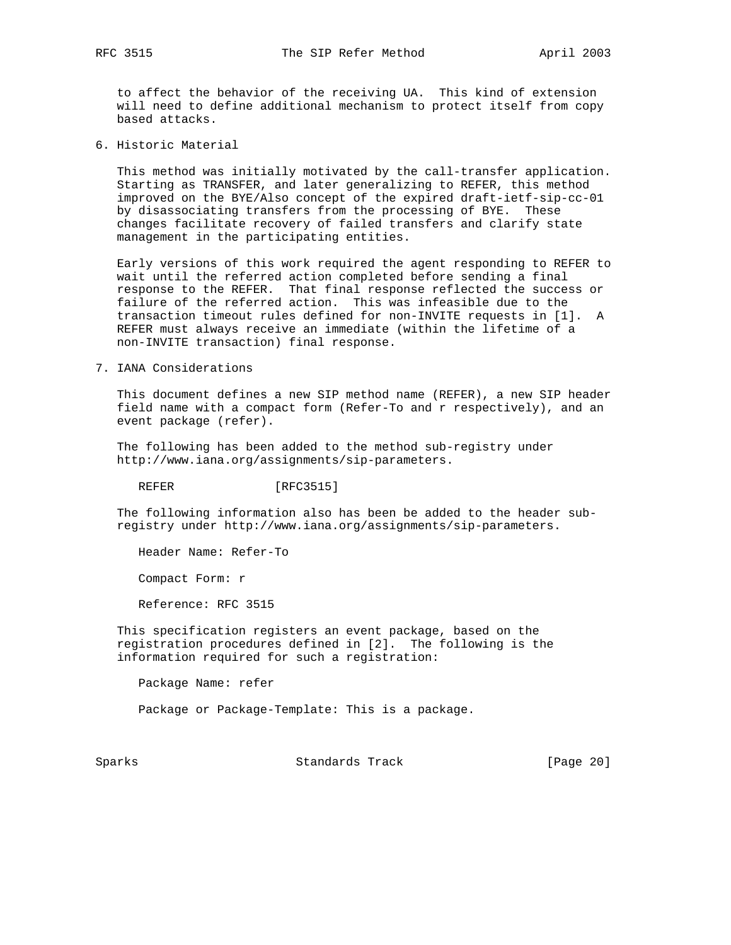to affect the behavior of the receiving UA. This kind of extension will need to define additional mechanism to protect itself from copy based attacks.

6. Historic Material

 This method was initially motivated by the call-transfer application. Starting as TRANSFER, and later generalizing to REFER, this method improved on the BYE/Also concept of the expired draft-ietf-sip-cc-01 by disassociating transfers from the processing of BYE. These changes facilitate recovery of failed transfers and clarify state management in the participating entities.

 Early versions of this work required the agent responding to REFER to wait until the referred action completed before sending a final response to the REFER. That final response reflected the success or failure of the referred action. This was infeasible due to the transaction timeout rules defined for non-INVITE requests in [1]. A REFER must always receive an immediate (within the lifetime of a non-INVITE transaction) final response.

7. IANA Considerations

 This document defines a new SIP method name (REFER), a new SIP header field name with a compact form (Refer-To and r respectively), and an event package (refer).

 The following has been added to the method sub-registry under http://www.iana.org/assignments/sip-parameters.

REFER [RFC3515]

 The following information also has been be added to the header sub registry under http://www.iana.org/assignments/sip-parameters.

Header Name: Refer-To

Compact Form: r

Reference: RFC 3515

 This specification registers an event package, based on the registration procedures defined in [2]. The following is the information required for such a registration:

Package Name: refer

Package or Package-Template: This is a package.

Sparks Standards Track [Page 20]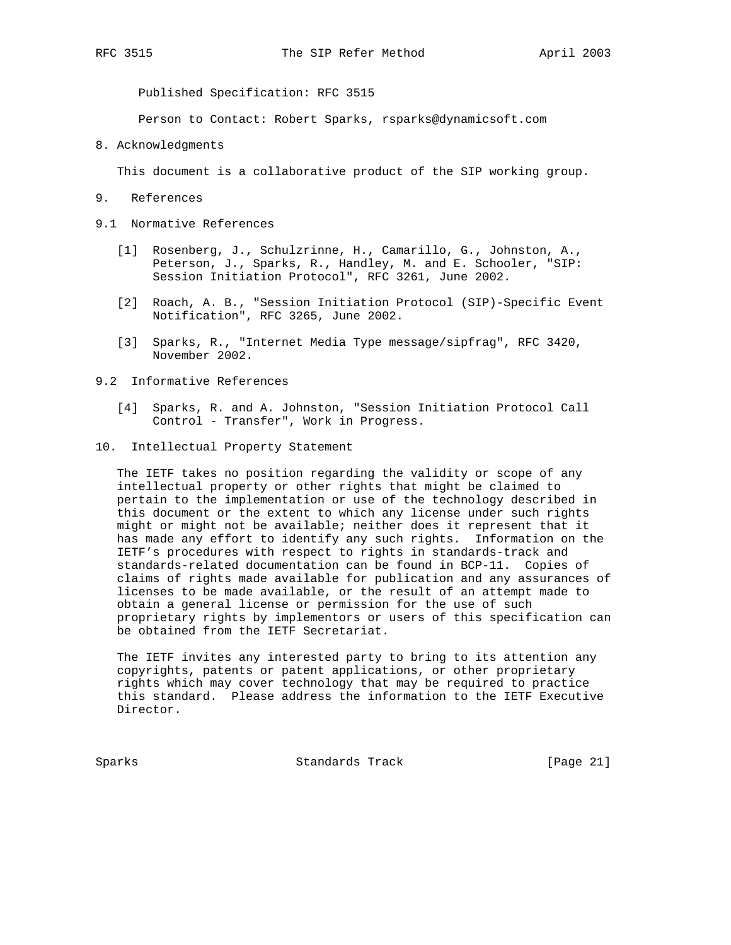Published Specification: RFC 3515

Person to Contact: Robert Sparks, rsparks@dynamicsoft.com

8. Acknowledgments

This document is a collaborative product of the SIP working group.

- 9. References
- 9.1 Normative References
	- [1] Rosenberg, J., Schulzrinne, H., Camarillo, G., Johnston, A., Peterson, J., Sparks, R., Handley, M. and E. Schooler, "SIP: Session Initiation Protocol", RFC 3261, June 2002.
- [2] Roach, A. B., "Session Initiation Protocol (SIP)-Specific Event Notification", RFC 3265, June 2002.
	- [3] Sparks, R., "Internet Media Type message/sipfrag", RFC 3420, November 2002.
- 9.2 Informative References
	- [4] Sparks, R. and A. Johnston, "Session Initiation Protocol Call Control - Transfer", Work in Progress.
- 10. Intellectual Property Statement

 The IETF takes no position regarding the validity or scope of any intellectual property or other rights that might be claimed to pertain to the implementation or use of the technology described in this document or the extent to which any license under such rights might or might not be available; neither does it represent that it has made any effort to identify any such rights. Information on the IETF's procedures with respect to rights in standards-track and standards-related documentation can be found in BCP-11. Copies of claims of rights made available for publication and any assurances of licenses to be made available, or the result of an attempt made to obtain a general license or permission for the use of such proprietary rights by implementors or users of this specification can be obtained from the IETF Secretariat.

 The IETF invites any interested party to bring to its attention any copyrights, patents or patent applications, or other proprietary rights which may cover technology that may be required to practice this standard. Please address the information to the IETF Executive Director.

Sparks Standards Track [Page 21]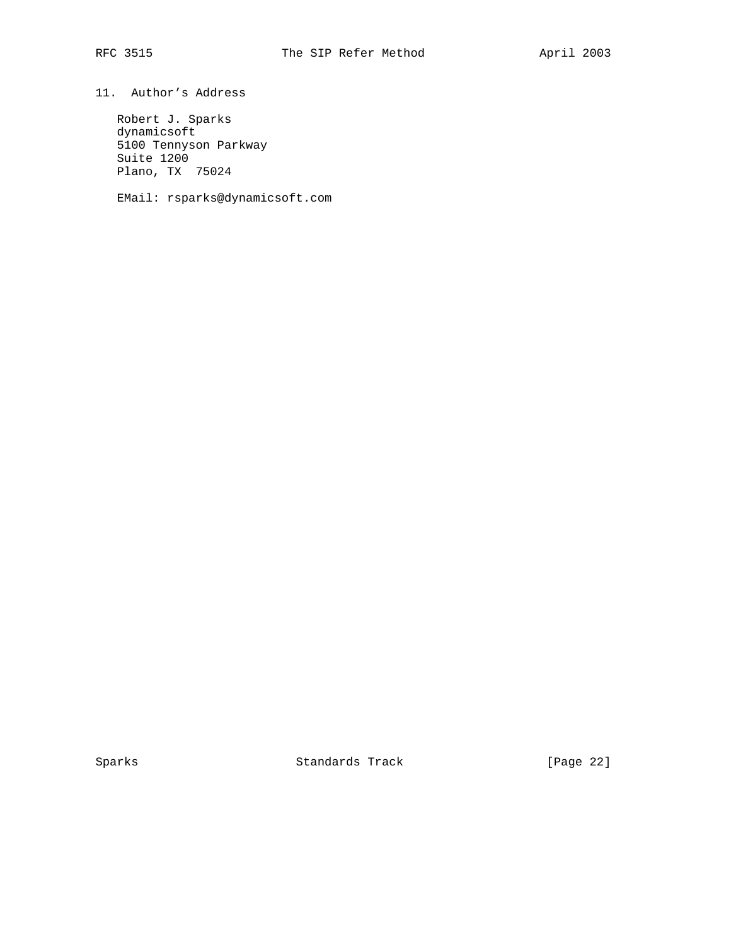11. Author's Address

 Robert J. Sparks dynamicsoft 5100 Tennyson Parkway Suite 1200 Plano, TX 75024

EMail: rsparks@dynamicsoft.com

Sparks Standards Track [Page 22]